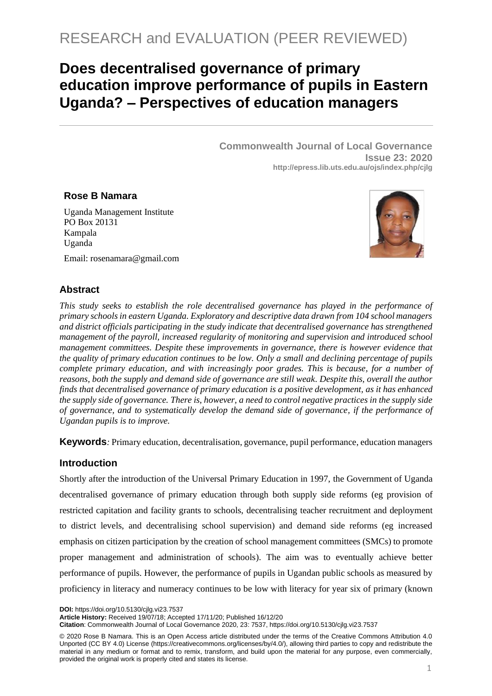# **Does decentralised governance of primary education improve performance of pupils in Eastern Uganda? – Perspectives of education managers**

**Commonwealth Journal of Local Governance Issue 23: 2020 <http://epress.lib.uts.edu.au/ojs/index.php/cjlg>**

#### **Rose B Namara**

Uganda Management Institute PO Box 20131 Kampala Uganda



Email: [rosenamara@gmail.com](mailto:rosenamara@gmail.com)

## **Abstract**

*This study seeks to establish the role decentralised governance has played in the performance of primary schools in eastern Uganda. Exploratory and descriptive data drawn from 104 school managers and district officials participating in the study indicate that decentralised governance has strengthened management of the payroll, increased regularity of monitoring and supervision and introduced school management committees. Despite these improvements in governance, there is however evidence that the quality of primary education continues to be low. Only a small and declining percentage of pupils complete primary education, and with increasingly poor grades. This is because, for a number of reasons, both the supply and demand side of governance are still weak. Despite this, overall the author finds that decentralised governance of primary education is a positive development, as it has enhanced the supply side of governance. There is, however, a need to control negative practices in the supply side of governance, and to systematically develop the demand side of governance, if the performance of Ugandan pupils is to improve.* 

**Keywords***:* Primary education, decentralisation, governance, pupil performance, education managers

## **Introduction**

Shortly after the introduction of the Universal Primary Education in 1997, the Government of Uganda decentralised governance of primary education through both supply side reforms (eg provision of restricted capitation and facility grants to schools, decentralising teacher recruitment and deployment to district levels, and decentralising school supervision) and demand side reforms (eg increased emphasis on citizen participation by the creation of school management committees (SMCs) to promote proper management and administration of schools). The aim was to eventually achieve better performance of pupils. However, the performance of pupils in Ugandan public schools as measured by proficiency in literacy and numeracy continues to be low with literacy for year six of primary (known

**DOI:** https://doi.org/10.5130/cjlg.vi23.7537

**Article History:** Received 19/07/18; Accepted 17/11/20; Published 16/12/20

**Citation**: Commonwealth Journal of Local Governance 2020, 23: 7537, https://doi.org/10.5130/cjlg.vi23.7537

<sup>© 2020</sup> Rose B Namara. This is an Open Access article distributed under the terms of the Creative Commons Attribution 4.0 Unported (CC BY 4.0) License [\(https://creativecommons.org/licenses/by/4.0/\)](https://creativecommons.org/licenses/by/4.0/), allowing third parties to copy and redistribute the material in any medium or format and to remix, transform, and build upon the material for any purpose, even commercially, provided the original work is properly cited and states its license.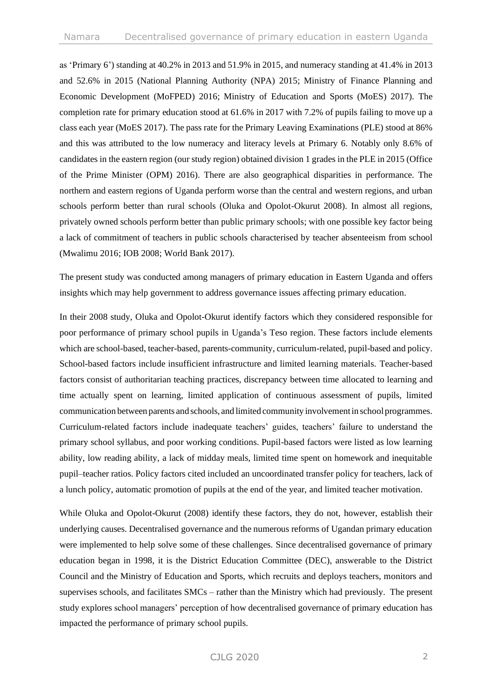as 'Primary 6') standing at 40.2% in 2013 and 51.9% in 2015, and numeracy standing at 41.4% in 2013 and 52.6% in 2015 (National Planning Authority (NPA) 2015; Ministry of Finance Planning and Economic Development (MoFPED) 2016; Ministry of Education and Sports (MoES) 2017). The completion rate for primary education stood at 61.6% in 2017 with 7.2% of pupils failing to move up a class each year (MoES 2017). The pass rate for the Primary Leaving Examinations (PLE) stood at 86% and this was attributed to the low numeracy and literacy levels at Primary 6. Notably only 8.6% of candidates in the eastern region (our study region) obtained division 1 grades in the PLE in 2015 (Office of the Prime Minister (OPM) 2016). There are also geographical disparities in performance. The northern and eastern regions of Uganda perform worse than the central and western regions, and urban schools perform better than rural schools (Oluka and Opolot-Okurut 2008). In almost all regions, privately owned schools perform better than public primary schools; with one possible key factor being a lack of commitment of teachers in public schools characterised by teacher absenteeism from school (Mwalimu 2016; IOB 2008; World Bank 2017).

The present study was conducted among managers of primary education in Eastern Uganda and offers insights which may help government to address governance issues affecting primary education.

In their 2008 study, Oluka and Opolot-Okurut identify factors which they considered responsible for poor performance of primary school pupils in Uganda's Teso region. These factors include elements which are school-based, teacher-based, parents-community, curriculum-related, pupil-based and policy. School-based factors include insufficient infrastructure and limited learning materials. Teacher-based factors consist of authoritarian teaching practices, discrepancy between time allocated to learning and time actually spent on learning, limited application of continuous assessment of pupils, limited communication between parents and schools, and limited community involvementin schoolprogrammes. Curriculum-related factors include inadequate teachers' guides, teachers' failure to understand the primary school syllabus, and poor working conditions. Pupil-based factors were listed as low learning ability, low reading ability, a lack of midday meals, limited time spent on homework and inequitable pupil–teacher ratios. Policy factors cited included an uncoordinated transfer policy for teachers, lack of a lunch policy, automatic promotion of pupils at the end of the year, and limited teacher motivation.

While Oluka and Opolot-Okurut (2008) identify these factors, they do not, however, establish their underlying causes. Decentralised governance and the numerous reforms of Ugandan primary education were implemented to help solve some of these challenges. Since decentralised governance of primary education began in 1998, it is the District Education Committee (DEC), answerable to the District Council and the Ministry of Education and Sports, which recruits and deploys teachers, monitors and supervises schools, and facilitates SMCs – rather than the Ministry which had previously. The present study explores school managers' perception of how decentralised governance of primary education has impacted the performance of primary school pupils.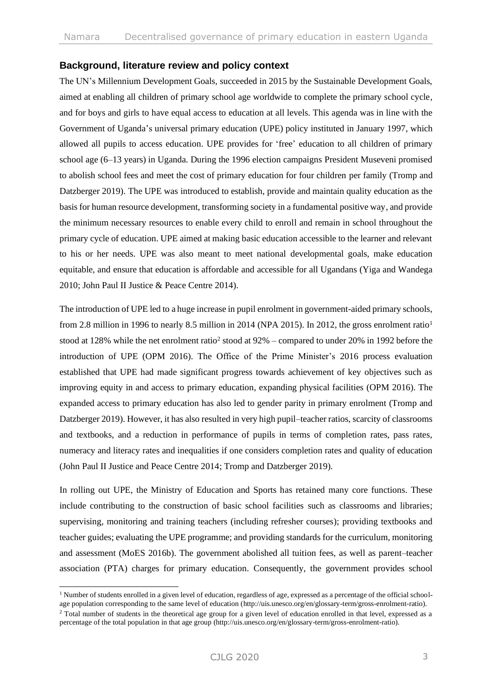#### **Background, literature review and policy context**

The UN's Millennium Development Goals, succeeded in 2015 by the Sustainable Development Goals, aimed at enabling all children of primary school age worldwide to complete the primary school cycle, and for boys and girls to have equal access to education at all levels. This agenda was in line with the Government of Uganda's universal primary education (UPE) policy instituted in January 1997, which allowed all pupils to access education. UPE provides for 'free' education to all children of primary school age (6–13 years) in Uganda. During the 1996 election campaigns President Museveni promised to abolish school fees and meet the cost of primary education for four children per family (Tromp and Datzberger 2019). The UPE was introduced to establish, provide and maintain quality education as the basis for human resource development, transforming society in a fundamental positive way, and provide the minimum necessary resources to enable every child to enroll and remain in school throughout the primary cycle of education. UPE aimed at making basic education accessible to the learner and relevant to his or her needs. UPE was also meant to meet national developmental goals, make education equitable, and ensure that education is affordable and accessible for all Ugandans (Yiga and Wandega 2010; John Paul II Justice & Peace Centre 2014).

The introduction of UPE led to a huge increase in pupil enrolment in government-aided primary schools, from 2.8 million in 1996 to nearly 8.5 million in 2014 (NPA 2015). In 2012, the gross enrolment ratio<sup>1</sup> stood at 128% while the net enrolment ratio<sup>2</sup> stood at  $92\%$  – compared to under 20% in 1992 before the introduction of UPE (OPM 2016). The Office of the Prime Minister's 2016 process evaluation established that UPE had made significant progress towards achievement of key objectives such as improving equity in and access to primary education, expanding physical facilities (OPM 2016). The expanded access to primary education has also led to gender parity in primary enrolment (Tromp and Datzberger 2019). However, it has also resulted in very high pupil–teacher ratios, scarcity of classrooms and textbooks, and a reduction in performance of pupils in terms of completion rates, pass rates, numeracy and literacy rates and inequalities if one considers completion rates and quality of education (John Paul II Justice and Peace Centre 2014; Tromp and Datzberger 2019).

In rolling out UPE, the Ministry of Education and Sports has retained many core functions. These include contributing to the construction of basic school facilities such as classrooms and libraries; supervising, monitoring and training teachers (including refresher courses); providing textbooks and teacher guides; evaluating the UPE programme; and providing standards for the curriculum, monitoring and assessment (MoES 2016b). The government abolished all tuition fees, as well as parent–teacher association (PTA) charges for primary education. Consequently, the government provides school

 $1$  Number of students enrolled in a given level of education, regardless of age, expressed as a percentage of the official schoolage population corresponding to the same level of education [\(http://uis.unesco.org/en/glossary-term/gross-enrolment-ratio\)](http://uis.unesco.org/en/glossary-term/gross-enrolment-ratio).

<sup>&</sup>lt;sup>2</sup> Total number of students in the theoretical age group for a given level of education enrolled in that level, expressed as a percentage of the total population in that age group [\(http://uis.unesco.org/en/glossary-term/gross-enrolment-ratio\)](http://uis.unesco.org/en/glossary-term/gross-enrolment-ratio).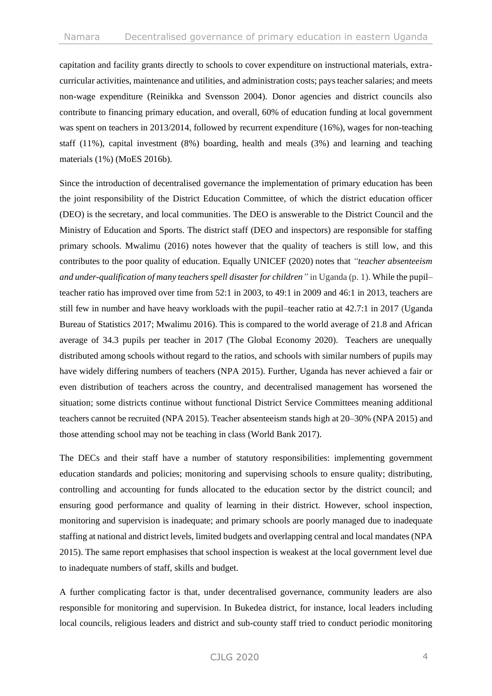capitation and facility grants directly to schools to cover expenditure on instructional materials, extracurricular activities, maintenance and utilities, and administration costs; pays teacher salaries; and meets non-wage expenditure (Reinikka and Svensson 2004). Donor agencies and district councils also contribute to financing primary education, and overall, 60% of education funding at local government was spent on teachers in 2013/2014, followed by recurrent expenditure (16%), wages for non-teaching staff  $(11\%)$ , capital investment  $(8\%)$  boarding, health and meals  $(3\%)$  and learning and teaching materials (1%) (MoES 2016b).

Since the introduction of decentralised governance the implementation of primary education has been the joint responsibility of the District Education Committee, of which the district education officer (DEO) is the secretary, and local communities. The DEO is answerable to the District Council and the Ministry of Education and Sports. The district staff (DEO and inspectors) are responsible for staffing primary schools. Mwalimu (2016) notes however that the quality of teachers is still low, and this contributes to the poor quality of education. Equally UNICEF (2020) notes that *"teacher absenteeism and under-qualification of many teachers spell disaster for children"* in Uganda (p. 1). While the pupil– teacher ratio has improved over time from 52:1 in 2003, to 49:1 in 2009 and 46:1 in 2013, teachers are still few in number and have heavy workloads with the pupil–teacher ratio at 42.7:1 in 2017 (Uganda Bureau of Statistics 2017; Mwalimu 2016). This is compared to the world average of 21.8 and African average of 34.3 pupils per teacher in 2017 (The Global Economy 2020). Teachers are unequally distributed among schools without regard to the ratios, and schools with similar numbers of pupils may have widely differing numbers of teachers (NPA 2015). Further, Uganda has never achieved a fair or even distribution of teachers across the country, and decentralised management has worsened the situation; some districts continue without functional District Service Committees meaning additional teachers cannot be recruited (NPA 2015). Teacher absenteeism stands high at 20–30% (NPA 2015) and those attending school may not be teaching in class (World Bank 2017).

The DECs and their staff have a number of statutory responsibilities: implementing government education standards and policies; monitoring and supervising schools to ensure quality; distributing, controlling and accounting for funds allocated to the education sector by the district council; and ensuring good performance and quality of learning in their district. However, school inspection, monitoring and supervision is inadequate; and primary schools are poorly managed due to inadequate staffing at national and district levels, limited budgets and overlapping central and local mandates (NPA 2015). The same report emphasises that school inspection is weakest at the local government level due to inadequate numbers of staff, skills and budget.

A further complicating factor is that, under decentralised governance, community leaders are also responsible for monitoring and supervision. In Bukedea district, for instance, local leaders including local councils, religious leaders and district and sub-county staff tried to conduct periodic monitoring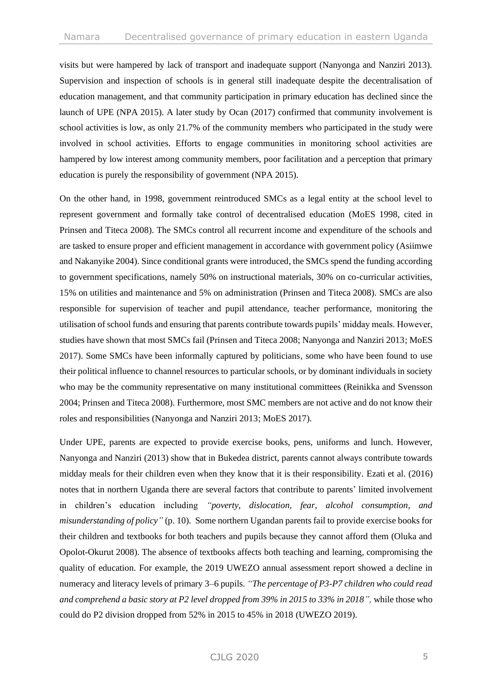visits but were hampered by lack of transport and inadequate support (Nanyonga and Nanziri 2013). Supervision and inspection of schools is in general still inadequate despite the decentralisation of education management, and that community participation in primary education has declined since the launch of UPE (NPA 2015). A later study by Ocan (2017) confirmed that community involvement is school activities is low, as only 21.7% of the community members who participated in the study were involved in school activities. Efforts to engage communities in monitoring school activities are hampered by low interest among community members, poor facilitation and a perception that primary education is purely the responsibility of government (NPA 2015).

On the other hand, in 1998, government reintroduced SMCs as a legal entity at the school level to represent government and formally take control of decentralised education (MoES 1998, cited in Prinsen and Titeca 2008). The SMCs control all recurrent income and expenditure of the schools and are tasked to ensure proper and efficient management in accordance with government policy (Asiimwe and Nakanyike 2004). Since conditional grants were introduced, the SMCs spend the funding according to government specifications, namely 50% on instructional materials, 30% on co-curricular activities, 15% on utilities and maintenance and 5% on administration (Prinsen and Titeca 2008). SMCs are also responsible for supervision of teacher and pupil attendance, teacher performance, monitoring the utilisation of school funds and ensuring that parents contribute towards pupils' midday meals. However, studies have shown that most SMCs fail (Prinsen and Titeca 2008; Nanyonga and Nanziri 2013; MoES 2017). Some SMCs have been informally captured by politicians, some who have been found to use their political influence to channel resources to particular schools, or by dominant individuals in society who may be the community representative on many institutional committees (Reinikka and Svensson 2004; Prinsen and Titeca 2008). Furthermore, most SMC members are not active and do not know their roles and responsibilities (Nanyonga and Nanziri 2013; MoES 2017).

Under UPE, parents are expected to provide exercise books, pens, uniforms and lunch. However, Nanyonga and Nanziri (2013) show that in Bukedea district, parents cannot always contribute towards midday meals for their children even when they know that it is their responsibility. Ezati et al. (2016) notes that in northern Uganda there are several factors that contribute to parents' limited involvement in children's education including *"poverty, dislocation, fear, alcohol consumption, and misunderstanding of policy"* (p. 10). Some northern Ugandan parents fail to provide exercise books for their children and textbooks for both teachers and pupils because they cannot afford them (Oluka and Opolot-Okurut 2008). The absence of textbooks affects both teaching and learning, compromising the quality of education. For example, the 2019 UWEZO annual assessment report showed a decline in numeracy and literacy levels of primary 3–6 pupils. *"The percentage of P3-P7 children who could read and comprehend a basic story at P2 level dropped from 39% in 2015 to 33% in 2018",* while those who could do P2 division dropped from 52% in 2015 to 45% in 2018 (UWEZO 2019).

### CJLG 2020 5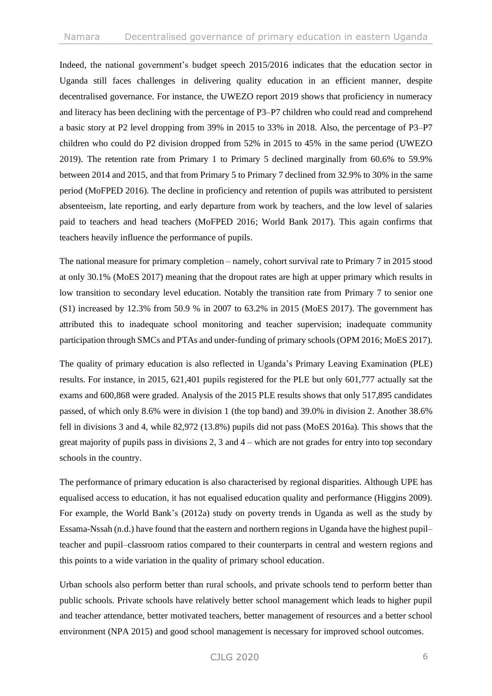Indeed, the national government's budget speech 2015/2016 indicates that the education sector in Uganda still faces challenges in delivering quality education in an efficient manner, despite decentralised governance. For instance, the UWEZO report 2019 shows that proficiency in numeracy and literacy has been declining with the percentage of P3–P7 children who could read and comprehend a basic story at P2 level dropping from 39% in 2015 to 33% in 2018. Also, the percentage of P3–P7 children who could do P2 division dropped from 52% in 2015 to 45% in the same period (UWEZO 2019). The retention rate from Primary 1 to Primary 5 declined marginally from 60.6% to 59.9% between 2014 and 2015, and that from Primary 5 to Primary 7 declined from 32.9% to 30% in the same period (MoFPED 2016). The decline in proficiency and retention of pupils was attributed to persistent absenteeism, late reporting, and early departure from work by teachers, and the low level of salaries paid to teachers and head teachers (MoFPED 2016; World Bank 2017). This again confirms that teachers heavily influence the performance of pupils.

The national measure for primary completion – namely, cohort survival rate to Primary 7 in 2015 stood at only 30.1% (MoES 2017) meaning that the dropout rates are high at upper primary which results in low transition to secondary level education. Notably the transition rate from Primary 7 to senior one (S1) increased by 12.3% from 50.9 % in 2007 to 63.2% in 2015 (MoES 2017). The government has attributed this to inadequate school monitoring and teacher supervision; inadequate community participation through SMCs and PTAs and under-funding of primary schools (OPM 2016; MoES 2017).

The quality of primary education is also reflected in Uganda's Primary Leaving Examination (PLE) results. For instance, in 2015, 621,401 pupils registered for the PLE but only 601,777 actually sat the exams and 600,868 were graded. Analysis of the 2015 PLE results shows that only 517,895 candidates passed, of which only 8.6% were in division 1 (the top band) and 39.0% in division 2. Another 38.6% fell in divisions 3 and 4, while 82,972 (13.8%) pupils did not pass (MoES 2016a). This shows that the great majority of pupils pass in divisions 2, 3 and  $4$  – which are not grades for entry into top secondary schools in the country.

The performance of primary education is also characterised by regional disparities. Although UPE has equalised access to education, it has not equalised education quality and performance (Higgins 2009). For example, the World Bank's (2012a) study on poverty trends in Uganda as well as the study by Essama-Nssah (n.d.) have found that the eastern and northern regions in Uganda have the highest pupil– teacher and pupil–classroom ratios compared to their counterparts in central and western regions and this points to a wide variation in the quality of primary school education.

Urban schools also perform better than rural schools, and private schools tend to perform better than public schools. Private schools have relatively better school management which leads to higher pupil and teacher attendance, better motivated teachers, better management of resources and a better school environment (NPA 2015) and good school management is necessary for improved school outcomes.

## CJLG 2020 6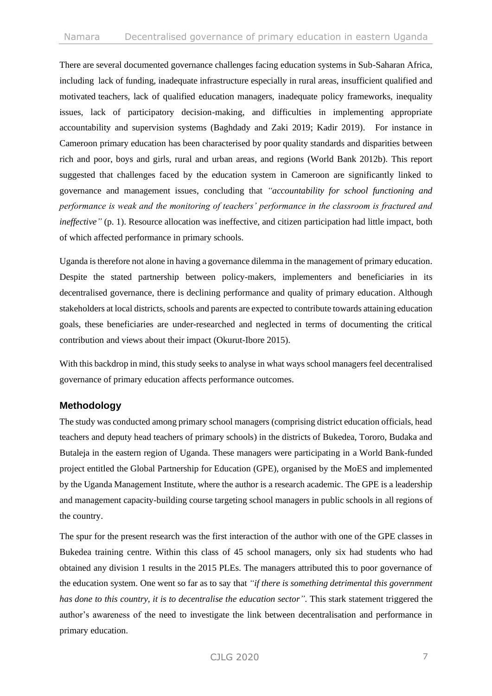There are several documented governance challenges facing education systems in Sub-Saharan Africa, including lack of funding, inadequate infrastructure especially in rural areas, insufficient qualified and motivated teachers, lack of qualified education managers, inadequate policy frameworks, inequality issues, lack of participatory decision-making, and difficulties in implementing appropriate accountability and supervision systems (Baghdady and Zaki 2019; Kadir 2019). For instance in Cameroon primary education has been characterised by poor quality standards and disparities between rich and poor, boys and girls, rural and urban areas, and regions (World Bank 2012b). This report suggested that challenges faced by the education system in Cameroon are significantly linked to governance and management issues, concluding that *"accountability for school functioning and performance is weak and the monitoring of teachers' performance in the classroom is fractured and ineffective*" (p. 1). Resource allocation was ineffective, and citizen participation had little impact, both of which affected performance in primary schools.

Uganda is therefore not alone in having a governance dilemma in the management of primary education. Despite the stated partnership between policy-makers, implementers and beneficiaries in its decentralised governance, there is declining performance and quality of primary education. Although stakeholders at local districts, schools and parents are expected to contribute towards attaining education goals, these beneficiaries are under-researched and neglected in terms of documenting the critical contribution and views about their impact (Okurut-Ibore 2015).

With this backdrop in mind, this study seeks to analyse in what ways school managers feel decentralised governance of primary education affects performance outcomes.

## **Methodology**

The study was conducted among primary school managers (comprising district education officials, head teachers and deputy head teachers of primary schools) in the districts of Bukedea, Tororo, Budaka and Butaleja in the eastern region of Uganda. These managers were participating in a World Bank-funded project entitled the Global Partnership for Education (GPE), organised by the MoES and implemented by the Uganda Management Institute, where the author is a research academic. The GPE is a leadership and management capacity-building course targeting school managers in public schools in all regions of the country.

The spur for the present research was the first interaction of the author with one of the GPE classes in Bukedea training centre. Within this class of 45 school managers, only six had students who had obtained any division 1 results in the 2015 PLEs. The managers attributed this to poor governance of the education system. One went so far as to say that *"if there is something detrimental this government has done to this country, it is to decentralise the education sector*". This stark statement triggered the author's awareness of the need to investigate the link between decentralisation and performance in primary education.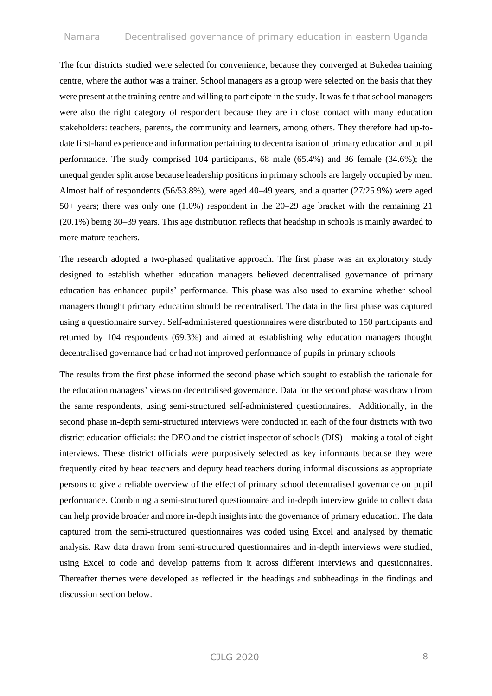The four districts studied were selected for convenience, because they converged at Bukedea training centre, where the author was a trainer. School managers as a group were selected on the basis that they were present at the training centre and willing to participate in the study. It was felt that school managers were also the right category of respondent because they are in close contact with many education stakeholders: teachers, parents, the community and learners, among others. They therefore had up-todate first-hand experience and information pertaining to decentralisation of primary education and pupil performance. The study comprised 104 participants, 68 male (65.4%) and 36 female (34.6%); the unequal gender split arose because leadership positions in primary schools are largely occupied by men. Almost half of respondents (56/53.8%), were aged 40–49 years, and a quarter (27/25.9%) were aged 50+ years; there was only one (1.0%) respondent in the 20–29 age bracket with the remaining 21 (20.1%) being 30–39 years. This age distribution reflects that headship in schools is mainly awarded to more mature teachers.

The research adopted a two-phased qualitative approach. The first phase was an exploratory study designed to establish whether education managers believed decentralised governance of primary education has enhanced pupils' performance. This phase was also used to examine whether school managers thought primary education should be recentralised. The data in the first phase was captured using a questionnaire survey. Self-administered questionnaires were distributed to 150 participants and returned by 104 respondents (69.3%) and aimed at establishing why education managers thought decentralised governance had or had not improved performance of pupils in primary schools

The results from the first phase informed the second phase which sought to establish the rationale for the education managers' views on decentralised governance. Data for the second phase was drawn from the same respondents, using semi-structured self-administered questionnaires. Additionally, in the second phase in-depth semi-structured interviews were conducted in each of the four districts with two district education officials: the DEO and the district inspector of schools (DIS) – making a total of eight interviews. These district officials were purposively selected as key informants because they were frequently cited by head teachers and deputy head teachers during informal discussions as appropriate persons to give a reliable overview of the effect of primary school decentralised governance on pupil performance. Combining a semi-structured questionnaire and in-depth interview guide to collect data can help provide broader and more in-depth insights into the governance of primary education. The data captured from the semi-structured questionnaires was coded using Excel and analysed by thematic analysis. Raw data drawn from semi-structured questionnaires and in-depth interviews were studied, using Excel to code and develop patterns from it across different interviews and questionnaires. Thereafter themes were developed as reflected in the headings and subheadings in the findings and discussion section below.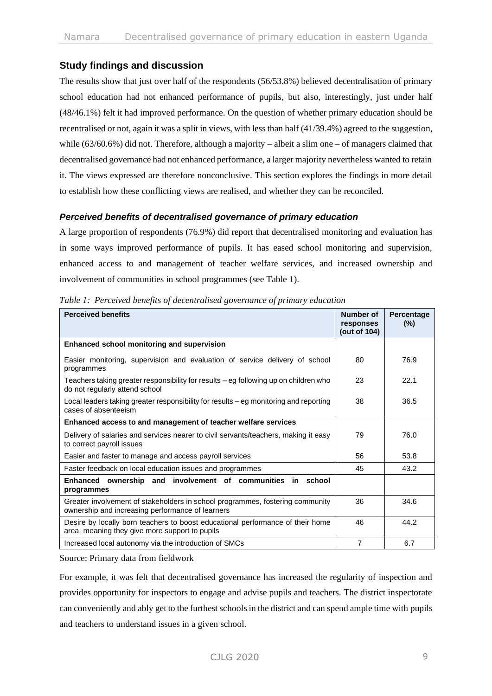## **Study findings and discussion**

The results show that just over half of the respondents (56/53.8%) believed decentralisation of primary school education had not enhanced performance of pupils, but also, interestingly, just under half (48/46.1%) felt it had improved performance. On the question of whether primary education should be recentralised or not, again it was a split in views, with less than half (41/39.4%) agreed to the suggestion, while (63/60.6%) did not. Therefore, although a majority – albeit a slim one – of managers claimed that decentralised governance had not enhanced performance, a larger majority nevertheless wanted to retain it. The views expressed are therefore nonconclusive. This section explores the findings in more detail to establish how these conflicting views are realised, and whether they can be reconciled.

#### *Perceived benefits of decentralised governance of primary education*

A large proportion of respondents (76.9%) did report that decentralised monitoring and evaluation has in some ways improved performance of pupils. It has eased school monitoring and supervision, enhanced access to and management of teacher welfare services, and increased ownership and involvement of communities in school programmes (see Table 1).

| <b>Perceived benefits</b>                                                                                                         | Number of<br>responses<br>(out of 104) | Percentage<br>$(\%)$ |
|-----------------------------------------------------------------------------------------------------------------------------------|----------------------------------------|----------------------|
| Enhanced school monitoring and supervision                                                                                        |                                        |                      |
| Easier monitoring, supervision and evaluation of service delivery of school<br>programmes                                         | 80                                     | 76.9                 |
| Teachers taking greater responsibility for results – eg following up on children who<br>do not regularly attend school            | 23                                     | 22.1                 |
| Local leaders taking greater responsibility for results – eg monitoring and reporting<br>cases of absenteeism                     | 38                                     | 36.5                 |
| Enhanced access to and management of teacher welfare services                                                                     |                                        |                      |
| Delivery of salaries and services nearer to civil servants/teachers, making it easy<br>to correct payroll issues                  | 79                                     | 76.0                 |
| Easier and faster to manage and access payroll services                                                                           | 56                                     | 53.8                 |
| Faster feedback on local education issues and programmes                                                                          | 45                                     | 43.2                 |
| Enhanced ownership and involvement of communities in school<br>programmes                                                         |                                        |                      |
| Greater involvement of stakeholders in school programmes, fostering community<br>ownership and increasing performance of learners | 36                                     | 34.6                 |
| Desire by locally born teachers to boost educational performance of their home<br>area, meaning they give more support to pupils  | 46                                     | 44.2                 |
| Increased local autonomy via the introduction of SMCs                                                                             | $\overline{7}$                         | 6.7                  |

*Table 1: Perceived benefits of decentralised governance of primary education* 

Source: Primary data from fieldwork

For example, it was felt that decentralised governance has increased the regularity of inspection and provides opportunity for inspectors to engage and advise pupils and teachers. The district inspectorate can conveniently and ably get to the furthest schools in the district and can spend ample time with pupils and teachers to understand issues in a given school.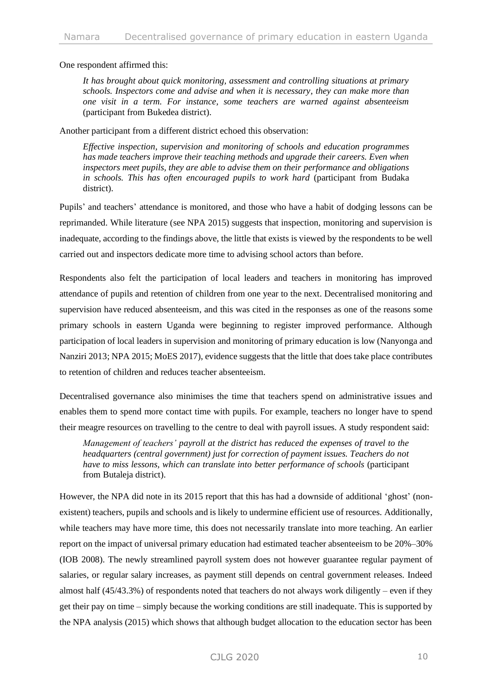One respondent affirmed this:

*It has brought about quick monitoring, assessment and controlling situations at primary schools. Inspectors come and advise and when it is necessary, they can make more than one visit in a term. For instance, some teachers are warned against absenteeism* (participant from Bukedea district).

Another participant from a different district echoed this observation:

*Effective inspection, supervision and monitoring of schools and education programmes has made teachers improve their teaching methods and upgrade their careers. Even when inspectors meet pupils, they are able to advise them on their performance and obligations in schools. This has often encouraged pupils to work hard* (participant from Budaka district).

Pupils' and teachers' attendance is monitored, and those who have a habit of dodging lessons can be reprimanded. While literature (see NPA 2015) suggests that inspection, monitoring and supervision is inadequate, according to the findings above, the little that exists is viewed by the respondents to be well carried out and inspectors dedicate more time to advising school actors than before.

Respondents also felt the participation of local leaders and teachers in monitoring has improved attendance of pupils and retention of children from one year to the next. Decentralised monitoring and supervision have reduced absenteeism, and this was cited in the responses as one of the reasons some primary schools in eastern Uganda were beginning to register improved performance. Although participation of local leaders in supervision and monitoring of primary education is low (Nanyonga and Nanziri 2013; NPA 2015; MoES 2017), evidence suggests that the little that does take place contributes to retention of children and reduces teacher absenteeism.

Decentralised governance also minimises the time that teachers spend on administrative issues and enables them to spend more contact time with pupils. For example, teachers no longer have to spend their meagre resources on travelling to the centre to deal with payroll issues. A study respondent said:

*Management of teachers' payroll at the district has reduced the expenses of travel to the headquarters (central government) just for correction of payment issues. Teachers do not have to miss lessons, which can translate into better performance of schools* (participant from Butaleja district).

However, the NPA did note in its 2015 report that this has had a downside of additional 'ghost' (nonexistent) teachers, pupils and schools and is likely to undermine efficient use of resources. Additionally, while teachers may have more time, this does not necessarily translate into more teaching. An earlier report on the impact of universal primary education had estimated teacher absenteeism to be 20%–30% (IOB 2008). The newly streamlined payroll system does not however guarantee regular payment of salaries, or regular salary increases, as payment still depends on central government releases. Indeed almost half (45/43.3%) of respondents noted that teachers do not always work diligently – even if they get their pay on time – simply because the working conditions are still inadequate. This is supported by the NPA analysis (2015) which shows that although budget allocation to the education sector has been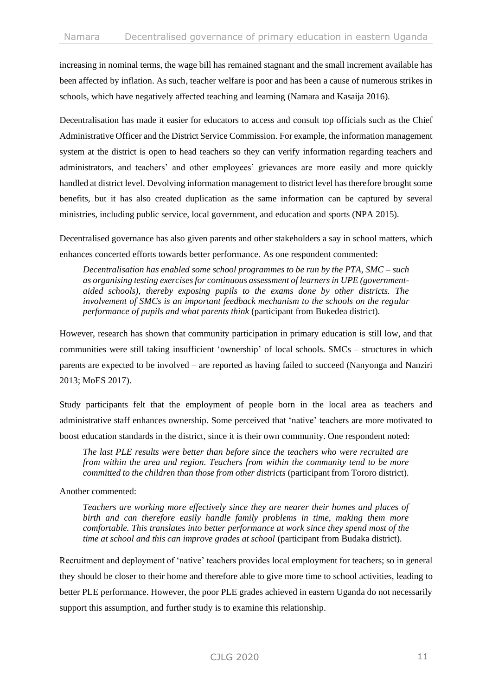increasing in nominal terms, the wage bill has remained stagnant and the small increment available has been affected by inflation. As such, teacher welfare is poor and has been a cause of numerous strikes in schools, which have negatively affected teaching and learning (Namara and Kasaija 2016).

Decentralisation has made it easier for educators to access and consult top officials such as the Chief Administrative Officer and the District Service Commission. For example, the information management system at the district is open to head teachers so they can verify information regarding teachers and administrators, and teachers' and other employees' grievances are more easily and more quickly handled at district level. Devolving information management to district level has therefore brought some benefits, but it has also created duplication as the same information can be captured by several ministries, including public service, local government, and education and sports (NPA 2015).

Decentralised governance has also given parents and other stakeholders a say in school matters, which enhances concerted efforts towards better performance. As one respondent commented:

*Decentralisation has enabled some school programmes to be run by the PTA, SMC – such as organising testing exercises for continuous assessment of learners in UPE (governmentaided schools), thereby exposing pupils to the exams done by other districts. The involvement of SMCs is an important feedback mechanism to the schools on the regular performance of pupils and what parents think* (participant from Bukedea district).

However, research has shown that community participation in primary education is still low, and that communities were still taking insufficient 'ownership' of local schools. SMCs – structures in which parents are expected to be involved – are reported as having failed to succeed (Nanyonga and Nanziri 2013; MoES 2017).

Study participants felt that the employment of people born in the local area as teachers and administrative staff enhances ownership. Some perceived that 'native' teachers are more motivated to boost education standards in the district, since it is their own community. One respondent noted:

*The last PLE results were better than before since the teachers who were recruited are from within the area and region. Teachers from within the community tend to be more committed to the children than those from other districts* (participant from Tororo district).

Another commented:

*Teachers are working more effectively since they are nearer their homes and places of birth and can therefore easily handle family problems in time, making them more comfortable. This translates into better performance at work since they spend most of the time at school and this can improve grades at school* (participant from Budaka district).

Recruitment and deployment of 'native' teachers provides local employment for teachers; so in general they should be closer to their home and therefore able to give more time to school activities, leading to better PLE performance. However, the poor PLE grades achieved in eastern Uganda do not necessarily support this assumption, and further study is to examine this relationship.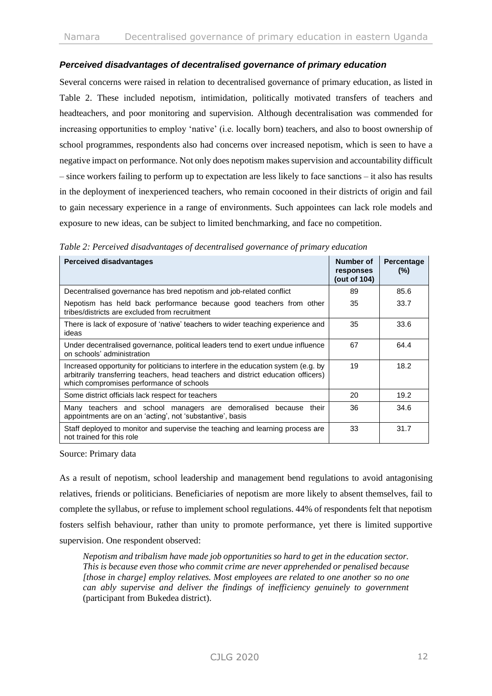#### *Perceived disadvantages of decentralised governance of primary education*

Several concerns were raised in relation to decentralised governance of primary education, as listed in Table 2. These included nepotism, intimidation, politically motivated transfers of teachers and headteachers, and poor monitoring and supervision. Although decentralisation was commended for increasing opportunities to employ 'native' (i.e. locally born) teachers, and also to boost ownership of school programmes, respondents also had concerns over increased nepotism, which is seen to have a negative impact on performance. Not only does nepotism makes supervision and accountability difficult – since workers failing to perform up to expectation are less likely to face sanctions – it also has results in the deployment of inexperienced teachers, who remain cocooned in their districts of origin and fail to gain necessary experience in a range of environments. Such appointees can lack role models and exposure to new ideas, can be subject to limited benchmarking, and face no competition.

| <b>Perceived disadvantages</b>                                                                                                                                                                                       | Number of<br>responses<br>(out of 104) | Percentage<br>$(\%)$ |
|----------------------------------------------------------------------------------------------------------------------------------------------------------------------------------------------------------------------|----------------------------------------|----------------------|
| Decentralised governance has bred nepotism and job-related conflict                                                                                                                                                  | 89                                     | 85.6                 |
| Nepotism has held back performance because good teachers from other<br>tribes/districts are excluded from recruitment                                                                                                | 35                                     | 33.7                 |
| There is lack of exposure of 'native' teachers to wider teaching experience and<br>ideas                                                                                                                             | 35                                     | 33.6                 |
| Under decentralised governance, political leaders tend to exert undue influence<br>on schools' administration                                                                                                        | 67                                     | 64.4                 |
| Increased opportunity for politicians to interfere in the education system (e.g. by<br>arbitrarily transferring teachers, head teachers and district education officers)<br>which compromises performance of schools | 19                                     | 18.2                 |
| Some district officials lack respect for teachers                                                                                                                                                                    | 20                                     | 19.2                 |
| Many teachers and school managers are demoralised because their<br>appointments are on an 'acting', not 'substantive', basis                                                                                         | 36                                     | 34.6                 |
| Staff deployed to monitor and supervise the teaching and learning process are<br>not trained for this role                                                                                                           | 33                                     | 31.7                 |

*Table 2: Perceived disadvantages of decentralised governance of primary education*

Source: Primary data

As a result of nepotism, school leadership and management bend regulations to avoid antagonising relatives, friends or politicians. Beneficiaries of nepotism are more likely to absent themselves, fail to complete the syllabus, or refuse to implement school regulations. 44% of respondents felt that nepotism fosters selfish behaviour, rather than unity to promote performance, yet there is limited supportive supervision. One respondent observed:

*Nepotism and tribalism have made job opportunities so hard to get in the education sector. This is because even those who commit crime are never apprehended or penalised because [those in charge] employ relatives. Most employees are related to one another so no one can ably supervise and deliver the findings of inefficiency genuinely to government* (participant from Bukedea district).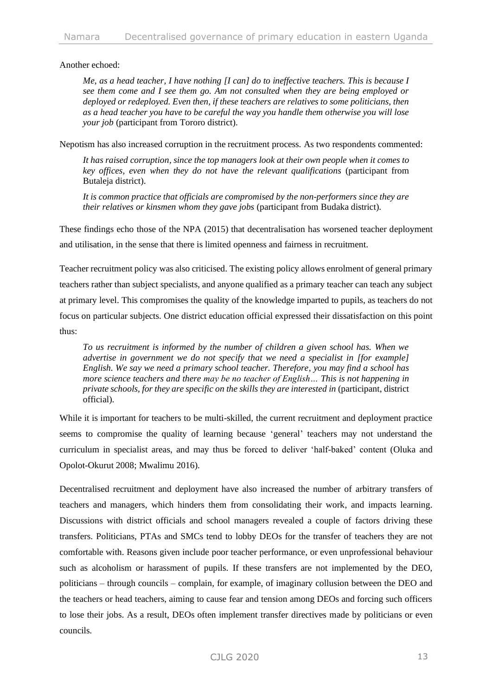Another echoed:

*Me, as a head teacher, I have nothing [I can] do to ineffective teachers. This is because I see them come and I see them go. Am not consulted when they are being employed or deployed or redeployed. Even then, if these teachers are relatives to some politicians, then as a head teacher you have to be careful the way you handle them otherwise you will lose your job* (participant from Tororo district).

Nepotism has also increased corruption in the recruitment process. As two respondents commented:

*It has raised corruption, since the top managers look at their own people when it comes to key offices, even when they do not have the relevant qualifications* (participant from Butaleja district).

*It is common practice that officials are compromised by the non-performers since they are their relatives or kinsmen whom they gave jobs* (participant from Budaka district).

These findings echo those of the NPA (2015) that decentralisation has worsened teacher deployment and utilisation, in the sense that there is limited openness and fairness in recruitment.

Teacher recruitment policy was also criticised. The existing policy allows enrolment of general primary teachers rather than subject specialists, and anyone qualified as a primary teacher can teach any subject at primary level. This compromises the quality of the knowledge imparted to pupils, as teachers do not focus on particular subjects. One district education official expressed their dissatisfaction on this point thus:

*To us recruitment is informed by the number of children a given school has. When we advertise in government we do not specify that we need a specialist in [for example] English. We say we need a primary school teacher. Therefore, you may find a school has more science teachers and there may be no teacher of English… This is not happening in private schools, for they are specific on the skills they are interested in* (participant, district official).

While it is important for teachers to be multi-skilled, the current recruitment and deployment practice seems to compromise the quality of learning because 'general' teachers may not understand the curriculum in specialist areas, and may thus be forced to deliver 'half-baked' content (Oluka and Opolot-Okurut 2008; Mwalimu 2016).

Decentralised recruitment and deployment have also increased the number of arbitrary transfers of teachers and managers, which hinders them from consolidating their work, and impacts learning. Discussions with district officials and school managers revealed a couple of factors driving these transfers. Politicians, PTAs and SMCs tend to lobby DEOs for the transfer of teachers they are not comfortable with. Reasons given include poor teacher performance, or even unprofessional behaviour such as alcoholism or harassment of pupils. If these transfers are not implemented by the DEO, politicians – through councils – complain, for example, of imaginary collusion between the DEO and the teachers or head teachers, aiming to cause fear and tension among DEOs and forcing such officers to lose their jobs. As a result, DEOs often implement transfer directives made by politicians or even councils.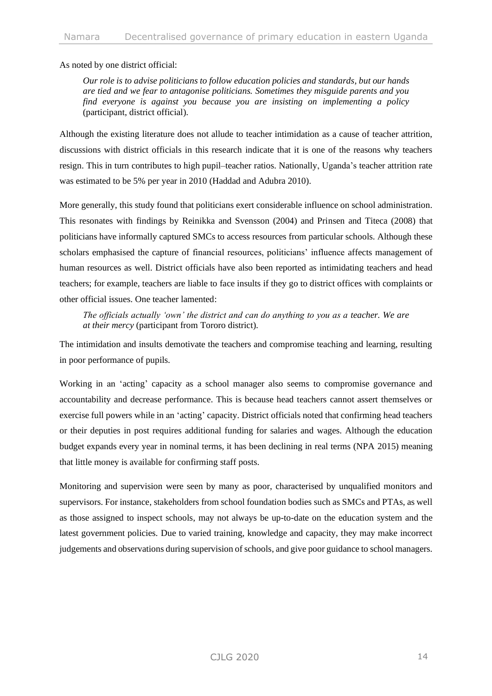As noted by one district official:

*Our role is to advise politicians to follow education policies and standards, but our hands are tied and we fear to antagonise politicians. Sometimes they misguide parents and you find everyone is against you because you are insisting on implementing a policy* (participant, district official).

Although the existing literature does not allude to teacher intimidation as a cause of teacher attrition, discussions with district officials in this research indicate that it is one of the reasons why teachers resign. This in turn contributes to high pupil–teacher ratios. Nationally, Uganda's teacher attrition rate was estimated to be 5% per year in 2010 (Haddad and Adubra 2010).

More generally, this study found that politicians exert considerable influence on school administration. This resonates with findings by Reinikka and Svensson (2004) and Prinsen and Titeca (2008) that politicians have informally captured SMCs to access resources from particular schools. Although these scholars emphasised the capture of financial resources, politicians' influence affects management of human resources as well. District officials have also been reported as intimidating teachers and head teachers; for example, teachers are liable to face insults if they go to district offices with complaints or other official issues. One teacher lamented:

*The officials actually 'own' the district and can do anything to you as a teacher. We are at their mercy* (participant from Tororo district).

The intimidation and insults demotivate the teachers and compromise teaching and learning, resulting in poor performance of pupils.

Working in an 'acting' capacity as a school manager also seems to compromise governance and accountability and decrease performance. This is because head teachers cannot assert themselves or exercise full powers while in an 'acting' capacity. District officials noted that confirming head teachers or their deputies in post requires additional funding for salaries and wages. Although the education budget expands every year in nominal terms, it has been declining in real terms (NPA 2015) meaning that little money is available for confirming staff posts.

Monitoring and supervision were seen by many as poor, characterised by unqualified monitors and supervisors. For instance, stakeholders from school foundation bodies such as SMCs and PTAs, as well as those assigned to inspect schools, may not always be up-to-date on the education system and the latest government policies. Due to varied training, knowledge and capacity, they may make incorrect judgements and observations during supervision of schools, and give poor guidance to school managers.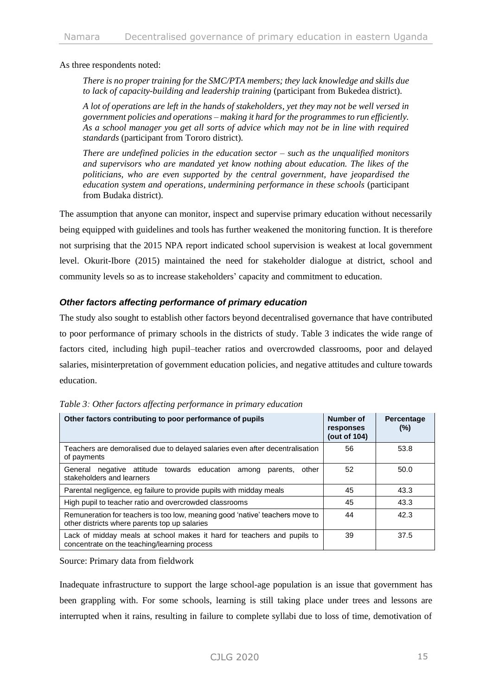As three respondents noted:

*There is no proper training for the SMC/PTA members; they lack knowledge and skills due to lack of capacity-building and leadership training* (participant from Bukedea district).

*A lot of operations are left in the hands of stakeholders, yet they may not be well versed in government policies and operations – making it hard for the programmes to run efficiently. As a school manager you get all sorts of advice which may not be in line with required standards* (participant from Tororo district).

*There are undefined policies in the education sector – such as the unqualified monitors and supervisors who are mandated yet know nothing about education. The likes of the politicians, who are even supported by the central government, have jeopardised the education system and operations, undermining performance in these schools* (participant from Budaka district).

The assumption that anyone can monitor, inspect and supervise primary education without necessarily being equipped with guidelines and tools has further weakened the monitoring function. It is therefore not surprising that the 2015 NPA report indicated school supervision is weakest at local government level. Okurit-Ibore (2015) maintained the need for stakeholder dialogue at district, school and community levels so as to increase stakeholders' capacity and commitment to education.

#### *Other factors affecting performance of primary education*

The study also sought to establish other factors beyond decentralised governance that have contributed to poor performance of primary schools in the districts of study. Table 3 indicates the wide range of factors cited, including high pupil–teacher ratios and overcrowded classrooms, poor and delayed salaries, misinterpretation of government education policies, and negative attitudes and culture towards education.

| Other factors contributing to poor performance of pupils                                                                      | Number of<br>responses<br>(out of 104) | Percentage<br>(%) |
|-------------------------------------------------------------------------------------------------------------------------------|----------------------------------------|-------------------|
| Teachers are demoralised due to delayed salaries even after decentralisation<br>of payments                                   | 56                                     | 53.8              |
| negative attitude towards education among<br>General<br>other<br>parents,<br>stakeholders and learners                        | 52                                     | 50.0              |
| Parental negligence, eg failure to provide pupils with midday meals                                                           | 45                                     | 43.3              |
| High pupil to teacher ratio and overcrowded classrooms                                                                        | 45                                     | 43.3              |
| Remuneration for teachers is too low, meaning good 'native' teachers move to<br>other districts where parents top up salaries | 44                                     | 42.3              |
| Lack of midday meals at school makes it hard for teachers and pupils to<br>concentrate on the teaching/learning process       | 39                                     | 37.5              |

*Table 3: Other factors affecting performance in primary education*

Source: Primary data from fieldwork

Inadequate infrastructure to support the large school-age population is an issue that government has been grappling with. For some schools, learning is still taking place under trees and lessons are interrupted when it rains, resulting in failure to complete syllabi due to loss of time, demotivation of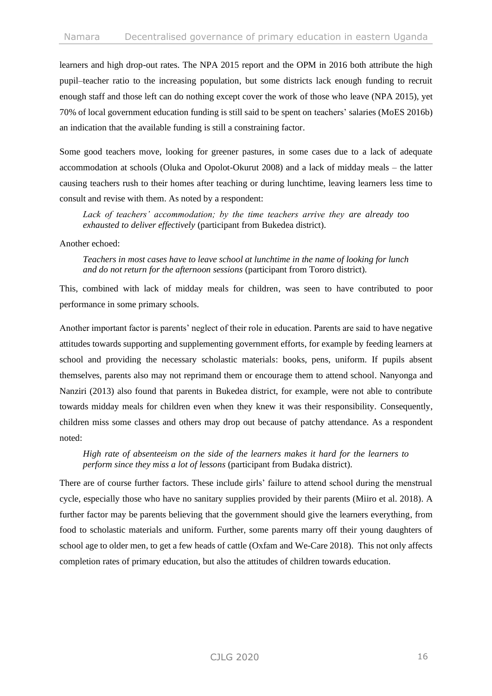learners and high drop-out rates. The NPA 2015 report and the OPM in 2016 both attribute the high pupil–teacher ratio to the increasing population, but some districts lack enough funding to recruit enough staff and those left can do nothing except cover the work of those who leave (NPA 2015), yet 70% of local government education funding is still said to be spent on teachers' salaries (MoES 2016b) an indication that the available funding is still a constraining factor.

Some good teachers move, looking for greener pastures, in some cases due to a lack of adequate accommodation at schools (Oluka and Opolot-Okurut 2008) and a lack of midday meals – the latter causing teachers rush to their homes after teaching or during lunchtime, leaving learners less time to consult and revise with them. As noted by a respondent:

*Lack of teachers' accommodation; by the time teachers arrive they are already too exhausted to deliver effectively* (participant from Bukedea district).

#### Another echoed:

*Teachers in most cases have to leave school at lunchtime in the name of looking for lunch and do not return for the afternoon sessions* (participant from Tororo district)*.*

This, combined with lack of midday meals for children, was seen to have contributed to poor performance in some primary schools.

Another important factor is parents' neglect of their role in education. Parents are said to have negative attitudes towards supporting and supplementing government efforts, for example by feeding learners at school and providing the necessary scholastic materials: books, pens, uniform. If pupils absent themselves, parents also may not reprimand them or encourage them to attend school. Nanyonga and Nanziri (2013) also found that parents in Bukedea district, for example, were not able to contribute towards midday meals for children even when they knew it was their responsibility. Consequently, children miss some classes and others may drop out because of patchy attendance. As a respondent noted:

#### *High rate of absenteeism on the side of the learners makes it hard for the learners to perform since they miss a lot of lessons* (participant from Budaka district).

There are of course further factors. These include girls' failure to attend school during the menstrual cycle, especially those who have no sanitary supplies provided by their parents (Miiro et al. 2018). A further factor may be parents believing that the government should give the learners everything, from food to scholastic materials and uniform. Further, some parents marry off their young daughters of school age to older men, to get a few heads of cattle (Oxfam and We-Care 2018). This not only affects completion rates of primary education, but also the attitudes of children towards education.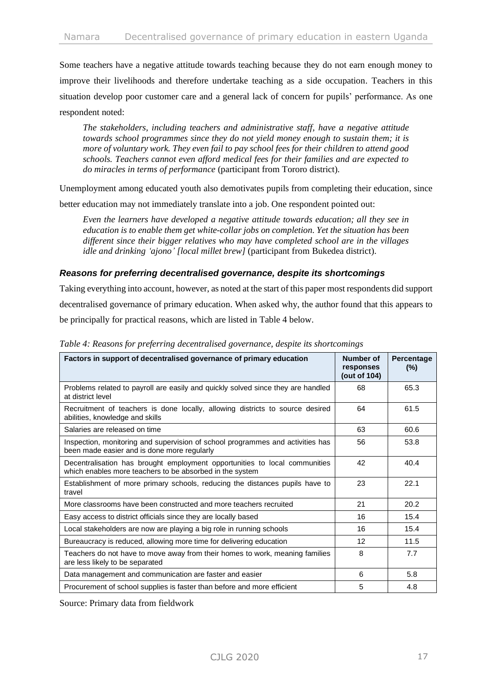Some teachers have a negative attitude towards teaching because they do not earn enough money to improve their livelihoods and therefore undertake teaching as a side occupation. Teachers in this situation develop poor customer care and a general lack of concern for pupils' performance. As one respondent noted:

*The stakeholders, including teachers and administrative staff, have a negative attitude towards school programmes since they do not yield money enough to sustain them; it is more of voluntary work. They even fail to pay school fees for their children to attend good schools. Teachers cannot even afford medical fees for their families and are expected to do miracles in terms of performance* (participant from Tororo district).

Unemployment among educated youth also demotivates pupils from completing their education, since

better education may not immediately translate into a job. One respondent pointed out:

*Even the learners have developed a negative attitude towards education; all they see in education is to enable them get white-collar jobs on completion. Yet the situation has been different since their bigger relatives who may have completed school are in the villages idle and drinking 'ajono' [local millet brew]* (participant from Bukedea district).

#### *Reasons for preferring decentralised governance, despite its shortcomings*

Taking everything into account, however, as noted at the start of this paper most respondents did support decentralised governance of primary education. When asked why, the author found that this appears to be principally for practical reasons, which are listed in Table 4 below.

| Factors in support of decentralised governance of primary education                                                                    | Number of<br>responses<br>(out of 104) | Percentage<br>(%) |
|----------------------------------------------------------------------------------------------------------------------------------------|----------------------------------------|-------------------|
| Problems related to payroll are easily and quickly solved since they are handled<br>at district level                                  | 68                                     | 65.3              |
| Recruitment of teachers is done locally, allowing districts to source desired<br>abilities, knowledge and skills                       | 64                                     | 61.5              |
| Salaries are released on time                                                                                                          | 63                                     | 60.6              |
| Inspection, monitoring and supervision of school programmes and activities has<br>been made easier and is done more regularly          | 56                                     | 53.8              |
| Decentralisation has brought employment opportunities to local communities<br>which enables more teachers to be absorbed in the system | 42                                     | 40.4              |
| Establishment of more primary schools, reducing the distances pupils have to<br>travel                                                 | 23                                     | 22.1              |
| More classrooms have been constructed and more teachers recruited                                                                      | 21                                     | 20.2              |
| Easy access to district officials since they are locally based                                                                         | 16                                     | 15.4              |
| Local stakeholders are now are playing a big role in running schools                                                                   | 16                                     | 15.4              |
| Bureaucracy is reduced, allowing more time for delivering education                                                                    | 12                                     | 11.5              |
| Teachers do not have to move away from their homes to work, meaning families<br>are less likely to be separated                        | 8                                      | 7.7               |
| Data management and communication are faster and easier                                                                                | 6                                      | 5.8               |
| Procurement of school supplies is faster than before and more efficient                                                                | 5                                      | 4.8               |

*Table 4: Reasons for preferring decentralised governance, despite its shortcomings*

Source: Primary data from fieldwork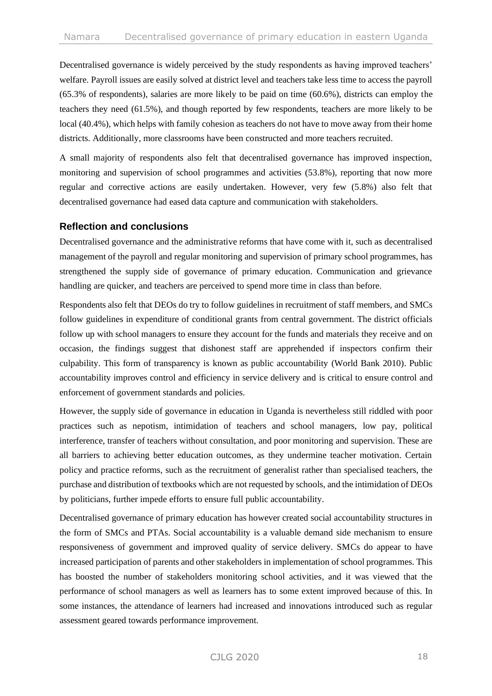Decentralised governance is widely perceived by the study respondents as having improved teachers' welfare. Payroll issues are easily solved at district level and teachers take less time to access the payroll (65.3% of respondents), salaries are more likely to be paid on time (60.6%), districts can employ the teachers they need (61.5%), and though reported by few respondents, teachers are more likely to be local (40.4%), which helps with family cohesion as teachers do not have to move away from their home districts. Additionally, more classrooms have been constructed and more teachers recruited.

A small majority of respondents also felt that decentralised governance has improved inspection, monitoring and supervision of school programmes and activities (53.8%), reporting that now more regular and corrective actions are easily undertaken. However, very few (5.8%) also felt that decentralised governance had eased data capture and communication with stakeholders.

## **Reflection and conclusions**

Decentralised governance and the administrative reforms that have come with it, such as decentralised management of the payroll and regular monitoring and supervision of primary school programmes, has strengthened the supply side of governance of primary education. Communication and grievance handling are quicker, and teachers are perceived to spend more time in class than before.

Respondents also felt that DEOs do try to follow guidelines in recruitment of staff members, and SMCs follow guidelines in expenditure of conditional grants from central government. The district officials follow up with school managers to ensure they account for the funds and materials they receive and on occasion, the findings suggest that dishonest staff are apprehended if inspectors confirm their culpability. This form of transparency is known as public accountability (World Bank 2010). Public accountability improves control and efficiency in service delivery and is critical to ensure control and enforcement of government standards and policies.

However, the supply side of governance in education in Uganda is nevertheless still riddled with poor practices such as nepotism, intimidation of teachers and school managers, low pay, political interference, transfer of teachers without consultation, and poor monitoring and supervision. These are all barriers to achieving better education outcomes, as they undermine teacher motivation. Certain policy and practice reforms, such as the recruitment of generalist rather than specialised teachers, the purchase and distribution of textbooks which are not requested by schools, and the intimidation of DEOs by politicians, further impede efforts to ensure full public accountability.

Decentralised governance of primary education has however created social accountability structures in the form of SMCs and PTAs. Social accountability is a valuable demand side mechanism to ensure responsiveness of government and improved quality of service delivery. SMCs do appear to have increased participation of parents and other stakeholders in implementation of school programmes. This has boosted the number of stakeholders monitoring school activities, and it was viewed that the performance of school managers as well as learners has to some extent improved because of this. In some instances, the attendance of learners had increased and innovations introduced such as regular assessment geared towards performance improvement.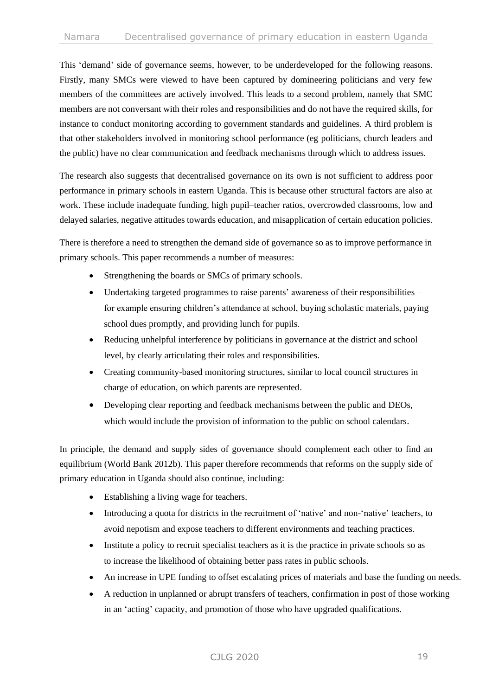This 'demand' side of governance seems, however, to be underdeveloped for the following reasons. Firstly, many SMCs were viewed to have been captured by domineering politicians and very few members of the committees are actively involved. This leads to a second problem, namely that SMC members are not conversant with their roles and responsibilities and do not have the required skills, for instance to conduct monitoring according to government standards and guidelines. A third problem is that other stakeholders involved in monitoring school performance (eg politicians, church leaders and the public) have no clear communication and feedback mechanisms through which to address issues.

The research also suggests that decentralised governance on its own is not sufficient to address poor performance in primary schools in eastern Uganda. This is because other structural factors are also at work. These include inadequate funding, high pupil–teacher ratios, overcrowded classrooms, low and delayed salaries, negative attitudes towards education, and misapplication of certain education policies.

There is therefore a need to strengthen the demand side of governance so as to improve performance in primary schools. This paper recommends a number of measures:

- Strengthening the boards or SMCs of primary schools.
- Undertaking targeted programmes to raise parents' awareness of their responsibilities for example ensuring children's attendance at school, buying scholastic materials, paying school dues promptly, and providing lunch for pupils.
- Reducing unhelpful interference by politicians in governance at the district and school level, by clearly articulating their roles and responsibilities.
- Creating community-based monitoring structures, similar to local council structures in charge of education, on which parents are represented.
- Developing clear reporting and feedback mechanisms between the public and DEOs, which would include the provision of information to the public on school calendars.

In principle, the demand and supply sides of governance should complement each other to find an equilibrium (World Bank 2012b). This paper therefore recommends that reforms on the supply side of primary education in Uganda should also continue, including:

- Establishing a living wage for teachers.
- Introducing a quota for districts in the recruitment of 'native' and non-'native' teachers, to avoid nepotism and expose teachers to different environments and teaching practices.
- Institute a policy to recruit specialist teachers as it is the practice in private schools so as to increase the likelihood of obtaining better pass rates in public schools.
- An increase in UPE funding to offset escalating prices of materials and base the funding on needs.
- A reduction in unplanned or abrupt transfers of teachers, confirmation in post of those working in an 'acting' capacity, and promotion of those who have upgraded qualifications.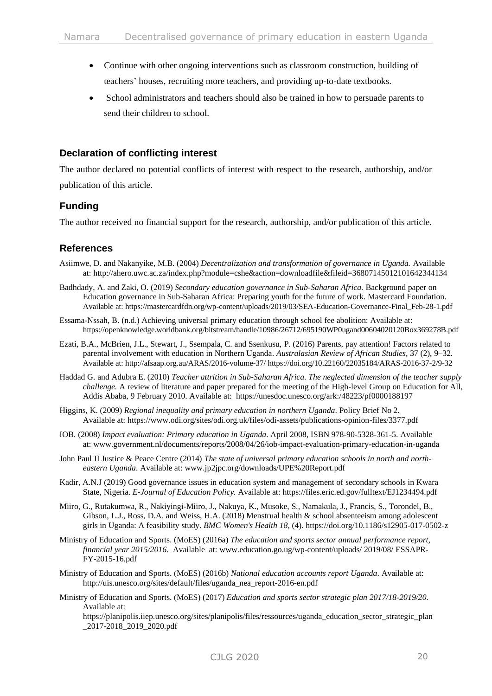- Continue with other ongoing interventions such as classroom construction, building of teachers' houses, recruiting more teachers, and providing up-to-date textbooks.
- School administrators and teachers should also be trained in how to persuade parents to send their children to school.

## **Declaration of conflicting interest**

The author declared no potential conflicts of interest with respect to the research, authorship, and/or publication of this article.

## **Funding**

The author received no financial support for the research, authorship, and/or publication of this article.

## **References**

- Asiimwe, D. and Nakanyike, M.B. (2004) *Decentralization and transformation of governance in Uganda.* Available at:<http://ahero.uwc.ac.za/index.php?module=cshe&action=downloadfile&fileid=36807145012101642344134>
- Badhdady, A. and Zaki, O. (2019) *Secondary education governance in Sub-Saharan Africa.* Background paper on Education governance in Sub-Saharan Africa: Preparing youth for the future of work. Mastercard Foundation. Available at: https://mastercardfdn.org/wp-content/uploads/2019/03/SEA-Education-Governance-Final\_Feb-28-1.pdf
- Essama-Nssah, B. (n.d.) Achieving universal primary education through school fee abolition: Available at: https://openknowledge.worldbank.org/bitstream/handle/10986/26712/695190WP0ugand00604020120Box369278B.pdf
- Ezati, B.A., McBrien, J.L., Stewart, J., Ssempala, C. and Ssenkusu, P. (2016) Parents, pay attention! Factors related to parental involvement with education in Northern Uganda. *Australasian Review of African Studies,* 37 (2), 9–32. Available at[: http://afsaap.org.au/ARAS/2016-volume-37/](http://afsaap.org.au/ARAS/2016-volume-37/) https://doi.org/10.22160/22035184/ARAS-2016-37-2/9-32
- Haddad G. and Adubra E. (2010) *Teacher attrition in Sub-Saharan Africa. The neglected dimension of the teacher supply challenge.* A review of literature and paper prepared for the meeting of the High-level Group on Education for All, Addis Ababa, 9 February 2010. Available at: https://unesdoc.unesco.org/ark:/48223/pf0000188197
- Higgins, K. (2009) *Regional inequality and primary education in northern Uganda*. Policy Brief No 2. Available at:<https://www.odi.org/sites/odi.org.uk/files/odi-assets/publications-opinion-files/3377.pdf>
- IOB. (2008) *Impact evaluation: Primary education in Uganda*. April 2008, ISBN 978-90-5328-361-5. Available at: www.government.nl/documents/reports/2008/04/26/iob-impact-evaluation-primary-education-in-uganda
- John Paul II Justice & Peace Centre (2014) *The state of universal primary education schools in north and northeastern Uganda*. Available at: www.jp2jpc.org/downloads/UPE%20Report.pdf
- Kadir, A.N.J (2019) Good governance issues in education system and management of secondary schools in Kwara State, Nigeria. *E-Journal of Education Policy.* Available at[: https://files.eric.ed.gov/fulltext/EJ1234494.pdf](https://files.eric.ed.gov/fulltext/EJ1234494.pdf)
- Miiro, G., Rutakumwa, R., Nakiyingi-Miiro, J., Nakuya, K., Musoke, S., Namakula, J., Francis, S., Torondel, B., Gibson, L.J., Ross, D.A. and Weiss, H.A. (2018) Menstrual health & school absenteeism among adolescent girls in Uganda: A feasibility study. *BMC Women's Health 18,* (4). https://doi.org/10.1186/s12905-017-0502-z
- Ministry of Education and Sports. (MoES) (2016a) *The education and sports sector annual performance report, financial year 2015/2016*. Available at: [www.education.go.ug/wp-content/u](http://www.education.go.ug/wp-content/)ploads/ 2019/08/ ESSAPR-FY-2015-16.pdf
- Ministry of Education and Sports. (MoES) (2016b) *National education accounts report Uganda*. Available at: [http://uis.unesco.org/sites/default/files/uganda\\_nea\\_report-2016-en.pdf](http://uis.unesco.org/sites/default/files/uganda_nea_report-2016-en.pdf)
- Ministry of Education and Sports. (MoES) (2017) *Education and sports sector strategic plan 2017/18-2019/20.* Available at:

https://planipolis.iiep.unesco.org/sites/planipolis/files/ressources/uganda\_education\_sector\_strategic\_plan \_2017-2018\_2019\_2020.pdf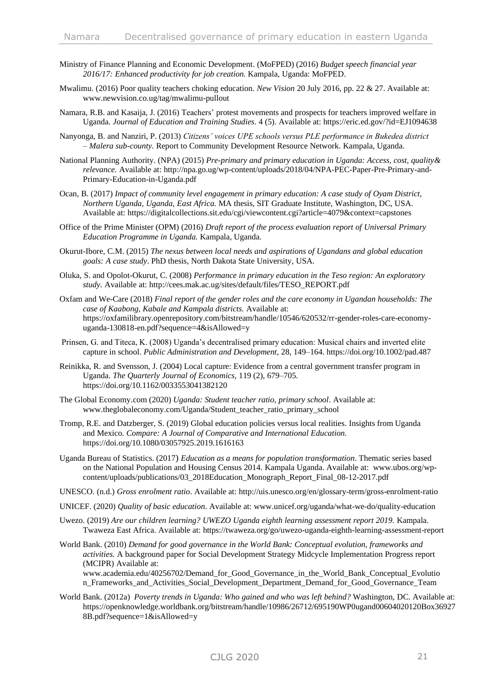- Ministry of Finance Planning and Economic Development. (MoFPED) (2016) *Budget speech financial year 2016/17: Enhanced productivity for job creation.* Kampala, Uganda: MoFPED.
- Mwalimu. (2016) Poor quality teachers choking education*. New Vision* 20 July 2016, pp. 22 & 27. Available at: www.newvision.co.ug/tag/mwalimu-pullout
- Namara, R.B. and Kasaija, J. (2016) Teachers' protest movements and prospects for teachers improved welfare in Uganda. *Journal of Education and Training Studies*. 4 (5). Available at: https://eric.ed.gov/?id=EJ1094638
- Nanyonga, B. and Nanziri, P. (2013) *Citizens' voices UPE schools versus PLE performance in Bukedea district – Malera sub-county.* Report to Community Development Resource Network. Kampala, Uganda.
- National Planning Authority. (NPA) (2015) *Pre-primary and primary education in Uganda: Access, cost, quality& relevance.* Available at: [http://npa.go.ug/wp-content/uploads/2018/04/NPA-PEC-Paper-Pre-Primary-and-](http://npa.go.ug/wp-content/uploads/2018/04/NPA-PEC-Paper-Pre-Primary-and-Primary-Education-in-Uganda.pdf)[Primary-Education-in-Uganda.pdf](http://npa.go.ug/wp-content/uploads/2018/04/NPA-PEC-Paper-Pre-Primary-and-Primary-Education-in-Uganda.pdf)
- Ocan, B. (2017) *Impact of community level engagement in primary education: A case study of Oyam District, Northern Uganda, Uganda, East Africa.* MA thesis, SIT Graduate Institute, Washington, DC, USA. Available at: https://digitalcollections.sit.edu/cgi/viewcontent.cgi?article=4079&context=capstones
- Office of the Prime Minister (OPM) (2016) *Draft report of the process evaluation report of Universal Primary Education Programme in Uganda.* Kampala, Uganda.
- Okurut-Ibore, C.M. (2015) *The nexus between local needs and aspirations of Ugandans and global education goals: A case study*. PhD thesis, North Dakota State University, USA.
- Oluka, S. and Opolot-Okurut, C. (2008) *Performance in primary education in the Teso region: An exploratory study.* Available at: [http://cees.mak.ac.ug/sites/default/files/TESO\\_REPORT.pdf](http://cees.mak.ac.ug/sites/default/files/TESO_REPORT.pdf)
- Oxfam and We-Care (2018) *Final report of the gender roles and the care economy in Ugandan households: The case of Kaabong, Kabale and Kampala districts.* Available at: https://oxfamilibrary.openrepository.com/bitstream/handle/10546/620532/rr-gender-roles-care-economyuganda-130818-en.pdf?sequence=4&isAllowed=y
- Prinsen, G. and Titeca, K. (2008) Uganda's decentralised primary education: Musical chairs and inverted elite capture in school. *Public Administration and Development*, 28, 149–164. https://doi.org/10.1002/pad.487
- Reinikka, R. and Svensson, J. (2004) Local capture: Evidence from a central government transfer program in Uganda. *The Quarterly Journal of Economics,* 119 (2), 679–705. https://doi.org/10.1162/0033553041382120
- The Global Economy.com (2020) *Uganda: Student teacher ratio, primary school*. Available at: www.theglobaleconomy.com/Uganda/Student\_teacher\_ratio\_primary\_school
- Tromp, R.E. and Datzberger, S. (2019) Global education policies versus local realities. Insights from Uganda and Mexico. *Compare: A Journal of Comparative and International Education.* <https://doi.org/10.1080/03057925.2019.1616163>
- Uganda Bureau of Statistics. (2017) *Education as a means for population transformation*. Thematic series based on the National Population and Housing Census 2014. Kampala Uganda. Available at: [www.ubos.org/wp](http://www.ubos.org/wp-content/uploads/publications/03_2018Education_Monograph_Report_Final_08-12-2017.pdf)[content/uploads/publications/03\\_2018Education\\_Monograph\\_Report\\_Final\\_08-12-2017.pdf](http://www.ubos.org/wp-content/uploads/publications/03_2018Education_Monograph_Report_Final_08-12-2017.pdf)
- UNESCO. (n.d.) *Gross enrolment ratio*. Available at:<http://uis.unesco.org/en/glossary-term/gross-enrolment-ratio>
- UNICEF. (2020) *Quality of basic education*. Available at: [www.unicef.org/uganda/what-we-do/quality-education](file:///C:/Users/diane/Downloads/www.unicef.org/uganda/what-we-do/quality-education)
- Uwezo. (2019) *Are our children learning? UWEZO Uganda eighth learning assessment report 2019.* Kampala. Twaweza East Africa. Available at:<https://twaweza.org/go/uwezo-uganda-eighth-learning-assessment-report>
- World Bank. (2010) *Demand for good governance in the World Bank: Conceptual evolution, frameworks and activities.* A background paper for Social Development Strategy Midcycle Implementation Progress report (MCIPR) Available at: www.academia.edu/40256702/Demand\_for\_Good\_Governance\_in\_the\_World\_Bank\_Conceptual\_Evolutio

n\_Frameworks\_and\_Activities\_Social\_Development\_Department\_Demand\_for\_Good\_Governance\_Team

World Bank. (2012a) *Poverty trends in Uganda: Who gained and who was left behind?* Washington, DC. Available at: https://openknowledge.worldbank.org/bitstream/handle/10986/26712/695190WP0ugand00604020120Box36927 8B.pdf?sequence=1&isAllowed=y